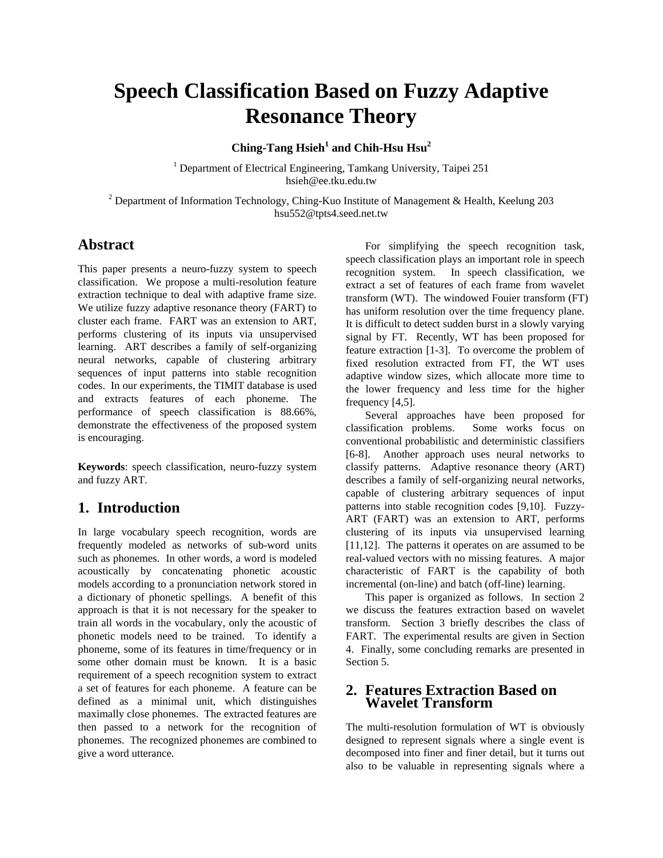# **Speech Classification Based on Fuzzy Adaptive Resonance Theory**

**Ching-Tang Hsieh<sup>1</sup> and Chih-Hsu Hsu<sup>2</sup>** 

<sup>1</sup> Department of Electrical Engineering, Tamkang University, Taipei 251 hsieh@ee.tku.edu.tw

<sup>2</sup> Department of Information Technology, Ching-Kuo Institute of Management & Health, Keelung 203 hsu552@tpts4.seed.net.tw

## **Abstract**

This paper presents a neuro-fuzzy system to speech classification. We propose a multi-resolution feature extraction technique to deal with adaptive frame size. We utilize fuzzy adaptive resonance theory (FART) to cluster each frame. FART was an extension to ART, performs clustering of its inputs via unsupervised learning. ART describes a family of self-organizing neural networks, capable of clustering arbitrary sequences of input patterns into stable recognition codes. In our experiments, the TIMIT database is used and extracts features of each phoneme. The performance of speech classification is 88.66%, demonstrate the effectiveness of the proposed system is encouraging.

**Keywords**: speech classification, neuro-fuzzy system and fuzzy ART.

## **1. Introduction**

In large vocabulary speech recognition, words are frequently modeled as networks of sub-word units such as phonemes. In other words, a word is modeled acoustically by concatenating phonetic acoustic models according to a pronunciation network stored in a dictionary of phonetic spellings. A benefit of this approach is that it is not necessary for the speaker to train all words in the vocabulary, only the acoustic of phonetic models need to be trained. To identify a phoneme, some of its features in time/frequency or in some other domain must be known. It is a basic requirement of a speech recognition system to extract a set of features for each phoneme. A feature can be defined as a minimal unit, which distinguishes maximally close phonemes. The extracted features are then passed to a network for the recognition of phonemes. The recognized phonemes are combined to give a word utterance.

For simplifying the speech recognition task, speech classification plays an important role in speech recognition system. In speech classification, we extract a set of features of each frame from wavelet transform (WT). The windowed Fouier transform (FT) has uniform resolution over the time frequency plane. It is difficult to detect sudden burst in a slowly varying signal by FT. Recently, WT has been proposed for feature extraction [1-3]. To overcome the problem of fixed resolution extracted from FT, the WT uses adaptive window sizes, which allocate more time to the lower frequency and less time for the higher frequency [4,5].

Several approaches have been proposed for classification problems. Some works focus on conventional probabilistic and deterministic classifiers [6-8]. Another approach uses neural networks to classify patterns. Adaptive resonance theory (ART) describes a family of self-organizing neural networks, capable of clustering arbitrary sequences of input patterns into stable recognition codes [9,10]. Fuzzy-ART (FART) was an extension to ART, performs clustering of its inputs via unsupervised learning [11,12]. The patterns it operates on are assumed to be real-valued vectors with no missing features. A major characteristic of FART is the capability of both incremental (on-line) and batch (off-line) learning.

This paper is organized as follows. In section 2 we discuss the features extraction based on wavelet transform. Section 3 briefly describes the class of FART. The experimental results are given in Section 4. Finally, some concluding remarks are presented in Section 5.

#### **2. Features Extraction Based on Wavelet Transform**

The multi-resolution formulation of WT is obviously designed to represent signals where a single event is decomposed into finer and finer detail, but it turns out also to be valuable in representing signals where a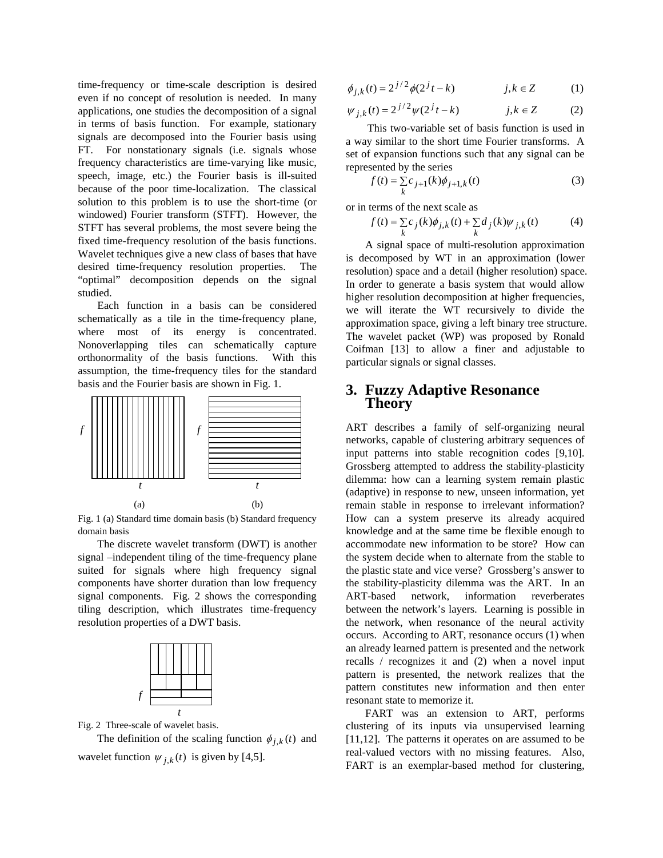time-frequency or time-scale description is desired even if no concept of resolution is needed. In many applications, one studies the decomposition of a signal in terms of basis function. For example, stationary signals are decomposed into the Fourier basis using FT. For nonstationary signals (i.e. signals whose frequency characteristics are time-varying like music, speech, image, etc.) the Fourier basis is ill-suited because of the poor time-localization. The classical solution to this problem is to use the short-time (or windowed) Fourier transform (STFT). However, the STFT has several problems, the most severe being the fixed time-frequency resolution of the basis functions. Wavelet techniques give a new class of bases that have desired time-frequency resolution properties. The "optimal" decomposition depends on the signal studied.

Each function in a basis can be considered schematically as a tile in the time-frequency plane, where most of its energy is concentrated. Nonoverlapping tiles can schematically capture orthonormality of the basis functions. With this assumption, the time-frequency tiles for the standard basis and the Fourier basis are shown in Fig. 1.



Fig. 1 (a) Standard time domain basis (b) Standard frequency domain basis

The discrete wavelet transform (DWT) is another signal –independent tiling of the time-frequency plane suited for signals where high frequency signal components have shorter duration than low frequency signal components. Fig. 2 shows the corresponding tiling description, which illustrates time-frequency resolution properties of a DWT basis.



Fig. 2 Three-scale of wavelet basis.

The definition of the scaling function  $\phi_{i,k}(t)$  and wavelet function  $\psi_{j,k}(t)$  is given by [4,5].

$$
\phi_{j,k}(t) = 2^{j/2} \phi(2^{j}t - k) \qquad j,k \in \mathbb{Z}
$$
 (1)

$$
\psi_{j,k}(t) = 2^{j/2} \psi(2^{j}t - k) \qquad j,k \in \mathbb{Z}
$$
 (2)

This two-variable set of basis function is used in a way similar to the short time Fourier transforms. A set of expansion functions such that any signal can be represented by the series

$$
f(t) = \sum_{k} c_{j+1}(k)\phi_{j+1,k}(t)
$$
 (3)

or in terms of the next scale as

$$
f(t) = \sum_{k} c_j(k)\phi_{j,k}(t) + \sum_{k} d_j(k)\psi_{j,k}(t)
$$
 (4)

A signal space of multi-resolution approximation is decomposed by WT in an approximation (lower resolution) space and a detail (higher resolution) space. In order to generate a basis system that would allow higher resolution decomposition at higher frequencies, we will iterate the WT recursively to divide the approximation space, giving a left binary tree structure. The wavelet packet (WP) was proposed by Ronald Coifman [13] to allow a finer and adjustable to particular signals or signal classes.

#### **3. Fuzzy Adaptive Resonance Theory**

ART describes a family of self-organizing neural networks, capable of clustering arbitrary sequences of input patterns into stable recognition codes [9,10]. Grossberg attempted to address the stability-plasticity dilemma: how can a learning system remain plastic (adaptive) in response to new, unseen information, yet remain stable in response to irrelevant information? How can a system preserve its already acquired knowledge and at the same time be flexible enough to accommodate new information to be store? How can the system decide when to alternate from the stable to the plastic state and vice verse? Grossberg's answer to the stability-plasticity dilemma was the ART. In an ART-based network, information reverberates between the network's layers. Learning is possible in the network, when resonance of the neural activity occurs. According to ART, resonance occurs (1) when an already learned pattern is presented and the network recalls / recognizes it and (2) when a novel input pattern is presented, the network realizes that the pattern constitutes new information and then enter resonant state to memorize it.

FART was an extension to ART, performs clustering of its inputs via unsupervised learning [11,12]. The patterns it operates on are assumed to be real-valued vectors with no missing features. Also, FART is an exemplar-based method for clustering,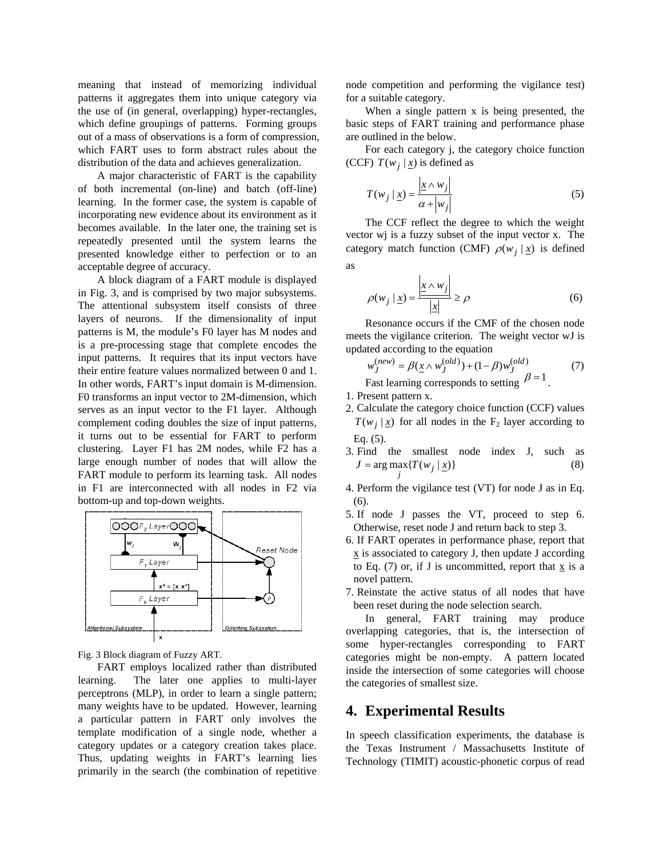meaning that instead of memorizing individual patterns it aggregates them into unique category via the use of (in general, overlapping) hyper-rectangles, which define groupings of patterns. Forming groups out of a mass of observations is a form of compression, which FART uses to form abstract rules about the distribution of the data and achieves generalization.

A major characteristic of FART is the capability of both incremental (on-line) and batch (off-line) learning. In the former case, the system is capable of incorporating new evidence about its environment as it becomes available. In the later one, the training set is repeatedly presented until the system learns the presented knowledge either to perfection or to an acceptable degree of accuracy.

A block diagram of a FART module is displayed in Fig. 3, and is comprised by two major subsystems. The attentional subsystem itself consists of three layers of neurons. If the dimensionality of input patterns is M, the module's F0 layer has M nodes and is a pre-processing stage that complete encodes the input patterns. It requires that its input vectors have their entire feature values normalized between 0 and 1. In other words, FART's input domain is M-dimension. F0 transforms an input vector to 2M-dimension, which serves as an input vector to the F1 layer. Although complement coding doubles the size of input patterns, it turns out to be essential for FART to perform clustering. Layer F1 has 2M nodes, while F2 has a large enough number of nodes that will allow the FART module to perform its learning task. All nodes in F1 are interconnected with all nodes in F2 via bottom-up and top-down weights.



Fig. 3 Block diagram of Fuzzy ART.

FART employs localized rather than distributed learning. The later one applies to multi-layer perceptrons (MLP), in order to learn a single pattern; many weights have to be updated. However, learning a particular pattern in FART only involves the template modification of a single node, whether a category updates or a category creation takes place. Thus, updating weights in FART's learning lies primarily in the search (the combination of repetitive node competition and performing the vigilance test) for a suitable category.

When a single pattern x is being presented, the basic steps of FART training and performance phase are outlined in the below.

For each category j, the category choice function (CCF)  $T(w_i | x)$  is defined as

$$
T(w_j \mid \underline{x}) = \frac{\left| \underline{x} \wedge w_j \right|}{\alpha + \left| w_j \right|} \tag{5}
$$

The CCF reflect the degree to which the weight vector wj is a fuzzy subset of the input vector x. The category match function (CMF)  $\rho(w_i | x)$  is defined as

$$
\rho(w_j \mid \underline{x}) = \frac{\left| \underline{x} \wedge w_j \right|}{\left| \underline{x} \right|} \ge \rho \tag{6}
$$

Resonance occurs if the CMF of the chosen node meets the vigilance criterion. The weight vector wJ is updated according to the equation

$$
w_J^{(new)} = \beta(\underline{x} \wedge w_J^{(old)}) + (1 - \beta)w_J^{(old)}
$$
\n
$$
B = 1
$$
\n(7)

Fast learning corresponds to setting  $\mu$ 

- 1. Present pattern x.
- 2. Calculate the category choice function (CCF) values  $T(w_i | x)$  for all nodes in the F<sub>2</sub> layer according to Eq. (5).
- 3. Find the smallest node index J, such as  $J = \arg \max_{j} \{T(w_j | \underline{x})\}$  (8)
- 4. Perform the vigilance test (VT) for node J as in Eq. (6).
- 5. If node J passes the VT, proceed to step 6. Otherwise, reset node J and return back to step 3.
- 6. If FART operates in performance phase, report that  $x$  is associated to category J, then update J according to Eq. (7) or, if J is uncommitted, report that  $x$  is a novel pattern.
- 7. Reinstate the active status of all nodes that have been reset during the node selection search.

In general, FART training may produce overlapping categories, that is, the intersection of some hyper-rectangles corresponding to FART categories might be non-empty. A pattern located inside the intersection of some categories will choose the categories of smallest size.

## **4. Experimental Results**

In speech classification experiments, the database is the Texas Instrument / Massachusetts Institute of Technology (TIMIT) acoustic-phonetic corpus of read